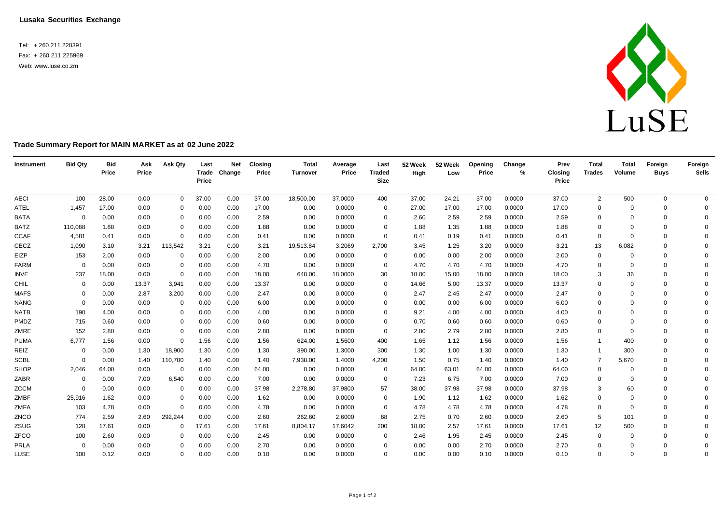**Lusaka Securities Exchange**

Tel: + 260 211 228391 Fax: + 260 211 225969 Web: [www.luse.co.zm](http://www.luse.co.zm/)



## **Trade Summary Report for MAIN MARKET as at 02 June 2022**

| Instrument  | <b>Bid Qty</b> | <b>Bid</b><br>Price | Ask<br>Price | Ask Qty     | Last<br>Price | <b>Net</b><br>Trade Change | <b>Closing</b><br>Price | <b>Total</b><br>Turnover | Average<br>Price | Last<br><b>Traded</b><br><b>Size</b> | 52 Week<br>High | 52 Week<br>Low | Opening<br>Price | Change<br>% | Prev<br><b>Closing</b><br>Price | <b>Total</b><br><b>Trades</b> | <b>Total</b><br>Volume | Foreign<br><b>Buys</b> | Foreign<br><b>Sells</b> |
|-------------|----------------|---------------------|--------------|-------------|---------------|----------------------------|-------------------------|--------------------------|------------------|--------------------------------------|-----------------|----------------|------------------|-------------|---------------------------------|-------------------------------|------------------------|------------------------|-------------------------|
| <b>AECI</b> | 100            | 28.00               | 0.00         | $\mathbf 0$ | 37.00         | 0.00                       | 37.00                   | 18,500.00                | 37.0000          | 400                                  | 37.00           | 24.21          | 37.00            | 0.0000      | 37.00                           | $\overline{2}$                | 500                    | $\mathbf 0$            | $\overline{0}$          |
| <b>ATEL</b> | 1,457          | 17.00               | 0.00         | $\Omega$    | 0.00          | 0.00                       | 17.00                   | 0.00                     | 0.0000           | 0                                    | 27.00           | 17.00          | 17.00            | 0.0000      | 17.00                           | 0                             | $\Omega$               | $\Omega$               | $\mathbf{0}$            |
| <b>BATA</b> | $\mathbf 0$    | 0.00                | 0.00         | 0           | 0.00          | 0.00                       | 2.59                    | 0.00                     | 0.0000           | 0                                    | 2.60            | 2.59           | 2.59             | 0.0000      | 2.59                            | $\mathbf 0$                   | $\Omega$               | $\mathbf 0$            | $\Omega$                |
| <b>BATZ</b> | 110,088        | 1.88                | 0.00         | $\mathbf 0$ | 0.00          | 0.00                       | 1.88                    | 0.00                     | 0.0000           | $\Omega$                             | 1.88            | 1.35           | 1.88             | 0.0000      | 1.88                            | $\mathbf 0$                   |                        | $\Omega$               | $\Omega$                |
| <b>CCAF</b> | 4,581          | 0.41                | 0.00         | $\mathbf 0$ | 0.00          | 0.00                       | 0.41                    | 0.00                     | 0.0000           | $\mathbf{0}$                         | 0.41            | 0.19           | 0.41             | 0.0000      | 0.41                            | $\mathbf 0$                   | $\Omega$               | $\Omega$               | $\Omega$                |
| CECZ        | 1,090          | 3.10                | 3.21         | 113,542     | 3.21          | 0.00                       | 3.21                    | 19,513.84                | 3.2069           | 2,700                                | 3.45            | 1.25           | 3.20             | 0.0000      | 3.21                            | 13                            | 6,082                  | $\Omega$               | $\Omega$                |
| EIZP        | 153            | 2.00                | 0.00         | 0           | 0.00          | 0.00                       | 2.00                    | 0.00                     | 0.0000           | $\mathbf{0}$                         | 0.00            | 0.00           | 2.00             | 0.0000      | 2.00                            | 0                             |                        | $\Omega$               | $\Omega$                |
| <b>FARM</b> | $\Omega$       | 0.00                | 0.00         | 0           | 0.00          | 0.00                       | 4.70                    | 0.00                     | 0.0000           | $\mathbf{0}$                         | 4.70            | 4.70           | 4.70             | 0.0000      | 4.70                            | $\Omega$                      | $\Omega$               | $\Omega$               | $\Omega$                |
| INVE        | 237            | 18.00               | 0.00         | $\mathbf 0$ | 0.00          | 0.00                       | 18.00                   | 648.00                   | 18.0000          | 30                                   | 18.00           | 15.00          | 18.00            | 0.0000      | 18.00                           | 3                             | 36                     | $\Omega$               | $\Omega$                |
| CHIL        | $\Omega$       | 0.00                | 13.37        | 3,941       | 0.00          | 0.00                       | 13.37                   | 0.00                     | 0.0000           | $\Omega$                             | 14.66           | 5.00           | 13.37            | 0.0000      | 13.37                           | $\Omega$                      | $\Omega$               | $\Omega$               | $\Omega$                |
| <b>MAFS</b> | 0              | 0.00                | 2.87         | 3,200       | 0.00          | 0.00                       | 2.47                    | 0.00                     | 0.0000           | $\Omega$                             | 2.47            | 2.45           | 2.47             | 0.0000      | 2.47                            | $\mathbf 0$                   | $\Omega$               | $\Omega$               | $\Omega$                |
| <b>NANG</b> | $\Omega$       | 0.00                | 0.00         | 0           | 0.00          | 0.00                       | 6.00                    | 0.00                     | 0.0000           | $\Omega$                             | 0.00            | 0.00           | 6.00             | 0.0000      | 6.00                            | 0                             | $\Omega$               | $\Omega$               | $\Omega$                |
| <b>NATB</b> | 190            | 4.00                | 0.00         | 0           | 0.00          | 0.00                       | 4.00                    | 0.00                     | 0.0000           | $\Omega$                             | 9.21            | 4.00           | 4.00             | 0.0000      | 4.00                            | $\mathbf 0$                   | $\Omega$               | $\Omega$               | $\Omega$                |
| PMDZ        | 715            | 0.60                | 0.00         | $\Omega$    | 0.00          | 0.00                       | 0.60                    | 0.00                     | 0.0000           | $\Omega$                             | 0.70            | 0.60           | 0.60             | 0.0000      | 0.60                            | $\mathbf 0$                   | $\Omega$               | $\Omega$               | $\Omega$                |
| ZMRE        | 152            | 2.80                | 0.00         | 0           | 0.00          | 0.00                       | 2.80                    | 0.00                     | 0.0000           | $\Omega$                             | 2.80            | 2.79           | 2.80             | 0.0000      | 2.80                            | $\mathbf 0$                   | $\Omega$               | $\Omega$               | $\Omega$                |
| <b>PUMA</b> | 6,777          | 1.56                | 0.00         | $\mathbf 0$ | 1.56          | 0.00                       | 1.56                    | 624.00                   | 1.5600           | 400                                  | 1.65            | 1.12           | 1.56             | 0.0000      | 1.56                            |                               | 400                    | $\Omega$               | $\Omega$                |
| REIZ        | $\overline{0}$ | 0.00                | 1.30         | 18,900      | 1.30          | 0.00                       | 1.30                    | 390.00                   | 1.3000           | 300                                  | 1.30            | 1.00           | 1.30             | 0.0000      | 1.30                            |                               | 300                    | $\Omega$               | $\Omega$                |
| <b>SCBL</b> | $\Omega$       | 0.00                | 1.40         | 110,700     | 1.40          | 0.00                       | 1.40                    | 7,938.00                 | 1.4000           | 4,200                                | 1.50            | 0.75           | 1.40             | 0.0000      | 1.40                            | $\overline{7}$                | 5,670                  | $\Omega$               | $\Omega$                |
| SHOP        | 2,046          | 64.00               | 0.00         | 0           | 0.00          | 0.00                       | 64.00                   | 0.00                     | 0.0000           | $\mathbf{0}$                         | 64.00           | 63.01          | 64.00            | 0.0000      | 64.00                           | 0                             | $\Omega$               | $\Omega$               | $\Omega$                |
| ZABR        | 0              | 0.00                | 7.00         | 6,540       | 0.00          | 0.00                       | 7.00                    | 0.00                     | 0.0000           | $\overline{0}$                       | 7.23            | 6.75           | 7.00             | 0.0000      | 7.00                            | $\mathbf 0$                   | $\Omega$               | $\Omega$               | $\Omega$                |
| <b>ZCCM</b> | $\Omega$       | 0.00                | 0.00         | 0           | 0.00          | 0.00                       | 37.98                   | 2,278.80                 | 37.9800          | 57                                   | 38.00           | 37.98          | 37.98            | 0.0000      | 37.98                           | 3                             | 60                     | $\Omega$               | $\Omega$                |
| ZMBF        | 25,916         | 1.62                | 0.00         | 0           | 0.00          | 0.00                       | 1.62                    | 0.00                     | 0.0000           | 0                                    | 1.90            | 1.12           | 1.62             | 0.0000      | 1.62                            | $\mathbf 0$                   | $\Omega$               | $\Omega$               | $\Omega$                |
| ZMFA        | 103            | 4.78                | 0.00         | 0           | 0.00          | 0.00                       | 4.78                    | 0.00                     | 0.0000           | $\mathbf{0}$                         | 4.78            | 4.78           | 4.78             | 0.0000      | 4.78                            | $\mathbf 0$                   | $\Omega$               | $\Omega$               | $\Omega$                |
| ZNCO        | 774            | 2.59                | 2.60         | 292,244     | 0.00          | 0.00                       | 2.60                    | 262.60                   | 2.6000           | 68                                   | 2.75            | 0.70           | 2.60             | 0.0000      | 2.60                            | 5                             | 101                    | $\Omega$               | $\Omega$                |
| ZSUG        | 128            | 17.61               | 0.00         | 0           | 17.61         | 0.00                       | 17.61                   | 8,804.17                 | 17.6042          | 200                                  | 18.00           | 2.57           | 17.61            | 0.0000      | 17.61                           | 12                            | 500                    | $\Omega$               | $\Omega$                |
| ZFCO        | 100            | 2.60                | 0.00         | $\Omega$    | 0.00          | 0.00                       | 2.45                    | 0.00                     | 0.0000           | 0                                    | 2.46            | 1.95           | 2.45             | 0.0000      | 2.45                            | 0                             | $\Omega$               | $\Omega$               | $\Omega$                |
| PRLA        | $\Omega$       | 0.00                | 0.00         | $\Omega$    | 0.00          | 0.00                       | 2.70                    | 0.00                     | 0.0000           | $\Omega$                             | 0.00            | 0.00           | 2.70             | 0.0000      | 2.70                            | $\mathbf 0$                   | $\Omega$               | $\Omega$               | $\mathbf 0$             |
| LUSE        | 100            | 0.12                | 0.00         | 0           | 0.00          | 0.00                       | 0.10                    | 0.00                     | 0.0000           | $\Omega$                             | 0.00            | 0.00           | 0.10             | 0.0000      | 0.10                            | $\mathbf 0$                   | $\Omega$               | $\Omega$               | $\Omega$                |